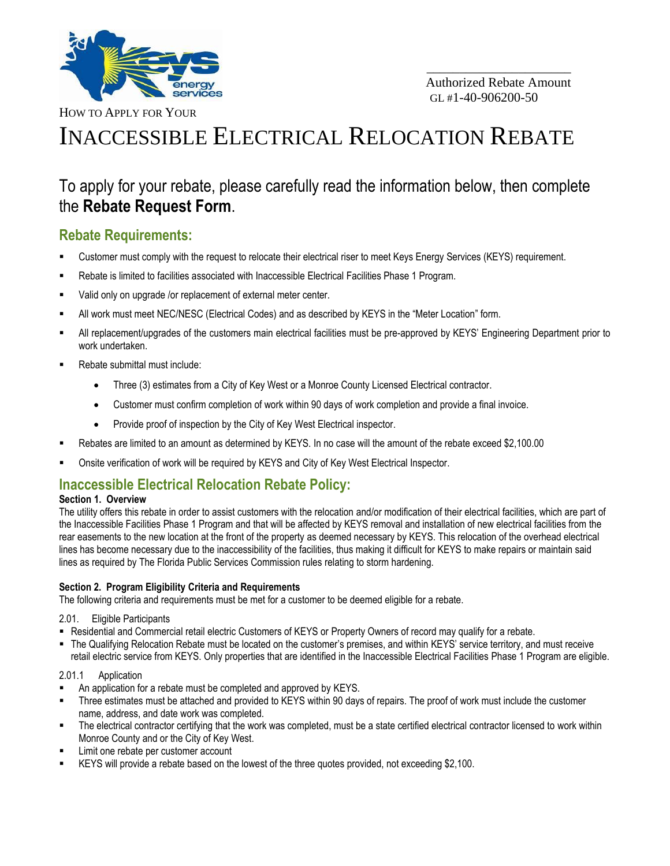

\_\_\_\_\_\_\_\_\_\_\_\_\_\_\_\_\_\_\_\_\_\_

HOW TO APPLY FOR YOUR

# INACCESSIBLE ELECTRICAL RELOCATION REBATE

## To apply for your rebate, please carefully read the information below, then complete the **Rebate Request Form**.

### **Rebate Requirements:**

- Customer must comply with the request to relocate their electrical riser to meet Keys Energy Services (KEYS) requirement.
- Rebate is limited to facilities associated with Inaccessible Electrical Facilities Phase 1 Program.
- Valid only on upgrade /or replacement of external meter center.
- All work must meet NEC/NESC (Electrical Codes) and as described by KEYS in the "Meter Location" form.
- All replacement/upgrades of the customers main electrical facilities must be pre-approved by KEYS' Engineering Department prior to work undertaken.
- Rebate submittal must include:
	- Three (3) estimates from a City of Key West or a Monroe County Licensed Electrical contractor.
	- Customer must confirm completion of work within 90 days of work completion and provide a final invoice.
	- Provide proof of inspection by the City of Key West Electrical inspector.
- Rebates are limited to an amount as determined by KEYS. In no case will the amount of the rebate exceed \$2,100.00
- Onsite verification of work will be required by KEYS and City of Key West Electrical Inspector.

### **Inaccessible Electrical Relocation Rebate Policy:**

#### **Section 1. Overview**

The utility offers this rebate in order to assist customers with the relocation and/or modification of their electrical facilities, which are part of the Inaccessible Facilities Phase 1 Program and that will be affected by KEYS removal and installation of new electrical facilities from the rear easements to the new location at the front of the property as deemed necessary by KEYS. This relocation of the overhead electrical lines has become necessary due to the inaccessibility of the facilities, thus making it difficult for KEYS to make repairs or maintain said lines as required by The Florida Public Services Commission rules relating to storm hardening.

#### **Section 2. Program Eligibility Criteria and Requirements**

The following criteria and requirements must be met for a customer to be deemed eligible for a rebate.

2.01. Eligible Participants

- Residential and Commercial retail electric Customers of KEYS or Property Owners of record may qualify for a rebate.
- The Qualifying Relocation Rebate must be located on the customer's premises, and within KEYS' service territory, and must receive retail electric service from KEYS. Only properties that are identified in the Inaccessible Electrical Facilities Phase 1 Program are eligible.

#### 2.01.1 Application

- An application for a rebate must be completed and approved by KEYS.
- Three estimates must be attached and provided to KEYS within 90 days of repairs. The proof of work must include the customer name, address, and date work was completed.
- The electrical contractor certifying that the work was completed, must be a state certified electrical contractor licensed to work within Monroe County and or the City of Key West.
- Limit one rebate per customer account
- KEYS will provide a rebate based on the lowest of the three quotes provided, not exceeding \$2,100.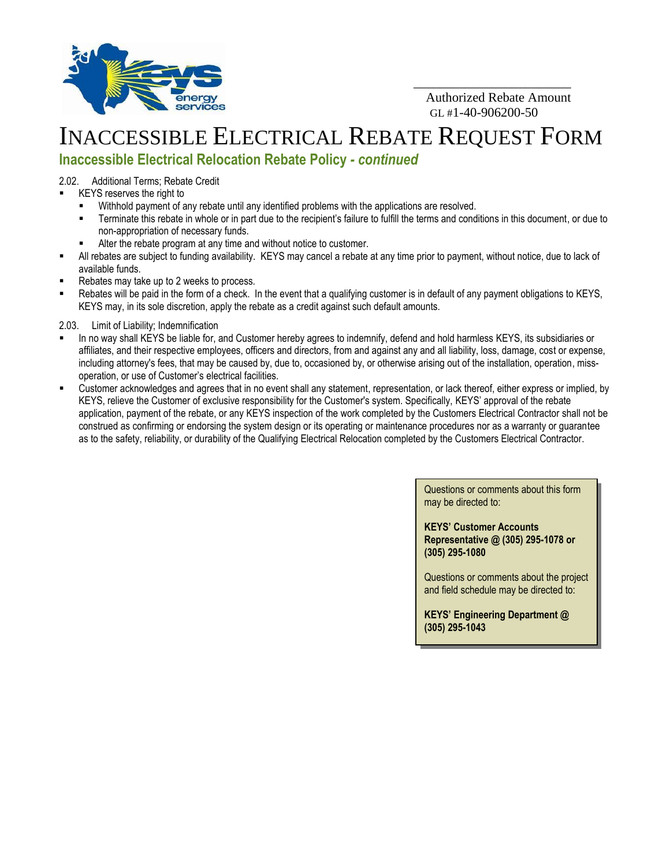

 Authorized Rebate Amount  $GL#1-40-906200-50$ 

\_\_\_\_\_\_\_\_\_\_\_\_\_\_\_\_\_\_\_\_\_\_\_\_

## INACCESSIBLE ELECTRICAL REBATE REQUEST FORM

## **Inaccessible Electrical Relocation Rebate Policy** *- continued*

2.02. Additional Terms; Rebate Credit

- KEYS reserves the right to
	- Withhold payment of any rebate until any identified problems with the applications are resolved.
	- Terminate this rebate in whole or in part due to the recipient's failure to fulfill the terms and conditions in this document, or due to non-appropriation of necessary funds.
	- Alter the rebate program at any time and without notice to customer.
- All rebates are subject to funding availability. KEYS may cancel a rebate at any time prior to payment, without notice, due to lack of available funds.
- Rebates may take up to 2 weeks to process.
- Rebates will be paid in the form of a check. In the event that a qualifying customer is in default of any payment obligations to KEYS, KEYS may, in its sole discretion, apply the rebate as a credit against such default amounts.
- 2.03. Limit of Liability; Indemnification
- In no way shall KEYS be liable for, and Customer hereby agrees to indemnify, defend and hold harmless KEYS, its subsidiaries or affiliates, and their respective employees, officers and directors, from and against any and all liability, loss, damage, cost or expense, including attorney's fees, that may be caused by, due to, occasioned by, or otherwise arising out of the installation, operation, missoperation, or use of Customer's electrical facilities.
- Customer acknowledges and agrees that in no event shall any statement, representation, or lack thereof, either express or implied, by KEYS, relieve the Customer of exclusive responsibility for the Customer's system. Specifically, KEYS' approval of the rebate application, payment of the rebate, or any KEYS inspection of the work completed by the Customers Electrical Contractor shall not be construed as confirming or endorsing the system design or its operating or maintenance procedures nor as a warranty or guarantee as to the safety, reliability, or durability of the Qualifying Electrical Relocation completed by the Customers Electrical Contractor.

Questions or comments about this form may be directed to:

**KEYS' Customer Accounts Representative @ (305) 295-1078 or (305) 295-1080**

Questions or comments about the project and field schedule may be directed to:

**KEYS' Engineering Department @ (305) 295-1043**